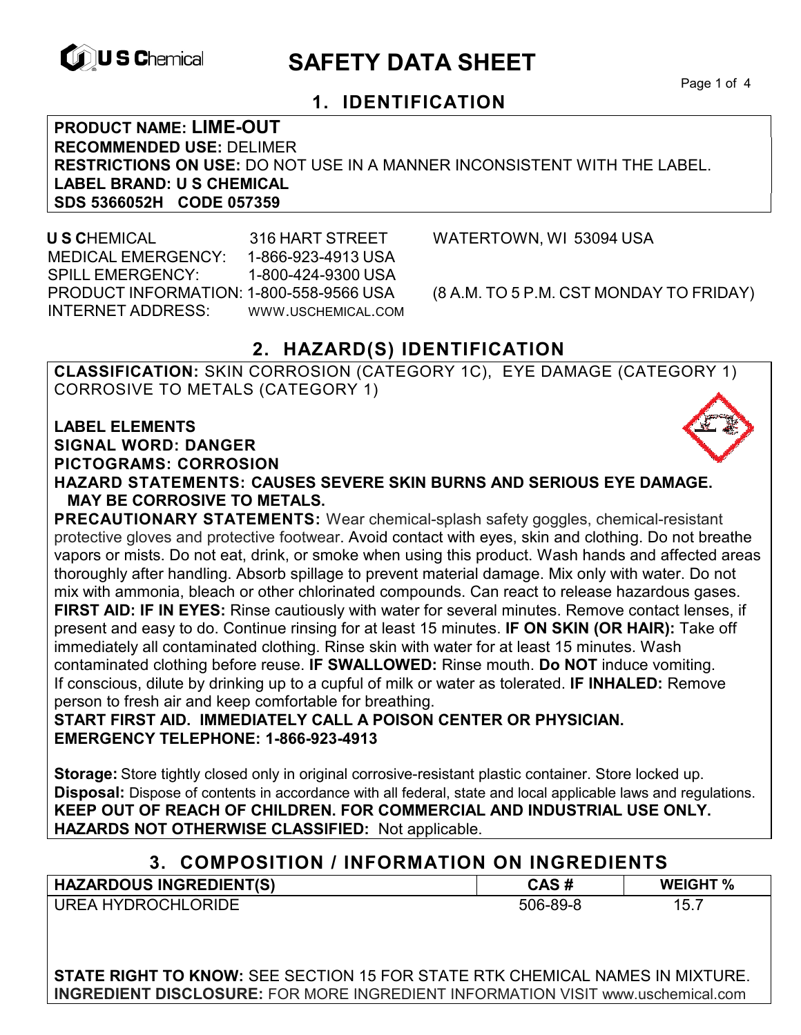

# **EXAGREM** SAFETY DATA SHEET

Page 1 of 4

## **1. IDENTIFICATION**

**PRODUCT NAME: LIME-OUT RECOMMENDED USE:** DELIMER **RESTRICTIONS ON USE:** DO NOT USE IN A MANNER INCONSISTENT WITH THE LABEL. **LABEL BRAND: U S CHEMICAL SDS 5366052H CODE 057359** 

 **U S C**HEMICAL 316 HART STREET WATERTOWN, WI 53094 USA MEDICAL EMERGENCY: 1-866-923-4913 USA SPILL EMERGENCY: 1-800-424-9300 USA PRODUCT INFORMATION: 1-800-558-9566 USA (8 A.M. TO 5 P.M. CST MONDAY TO FRIDAY) INTERNET ADDRESS: WWW.USCHEMICAL.COM

## **2. HAZARD(S) IDENTIFICATION**

**CLASSIFICATION:** SKIN CORROSION (CATEGORY 1C), EYE DAMAGE (CATEGORY 1) CORROSIVE TO METALS (CATEGORY 1)

**LABEL ELEMENTS SIGNAL WORD: DANGER PICTOGRAMS: CORROSION**

**HAZARD STATEMENTS: CAUSES SEVERE SKIN BURNS AND SERIOUS EYE DAMAGE. MAY BE CORROSIVE TO METALS.** 

**PRECAUTIONARY STATEMENTS:** Wear chemical-splash safety goggles, chemical-resistant protective gloves and protective footwear. Avoid contact with eyes, skin and clothing. Do not breathe vapors or mists. Do not eat, drink, or smoke when using this product. Wash hands and affected areas thoroughly after handling. Absorb spillage to prevent material damage. Mix only with water. Do not mix with ammonia, bleach or other chlorinated compounds. Can react to release hazardous gases. **FIRST AID: IF IN EYES:** Rinse cautiously with water for several minutes. Remove contact lenses, if present and easy to do. Continue rinsing for at least 15 minutes. **IF ON SKIN (OR HAIR):** Take off immediately all contaminated clothing. Rinse skin with water for at least 15 minutes. Wash contaminated clothing before reuse. **IF SWALLOWED:** Rinse mouth. **Do NOT** induce vomiting. If conscious, dilute by drinking up to a cupful of milk or water as tolerated. **IF INHALED:** Remove person to fresh air and keep comfortable for breathing.

**START FIRST AID. IMMEDIATELY CALL A POISON CENTER OR PHYSICIAN. EMERGENCY TELEPHONE: 1-866-923-4913** 

**Storage:** Store tightly closed only in original corrosive-resistant plastic container. Store locked up. **Disposal:** Dispose of contents in accordance with all federal, state and local applicable laws and regulations. **KEEP OUT OF REACH OF CHILDREN. FOR COMMERCIAL AND INDUSTRIAL USE ONLY. HAZARDS NOT OTHERWISE CLASSIFIED:** Not applicable.

### **3. COMPOSITION / INFORMATION ON INGREDIENTS**

| <b>HAZARDOUS INGREDIENT(S)</b> | CAS #    | <b>WEIGHT %</b> |
|--------------------------------|----------|-----------------|
| <b>UREA HYDROCHLORIDE</b>      | 506-89-8 | 15.             |

**STATE RIGHT TO KNOW:** SEE SECTION 15 FOR STATE RTK CHEMICAL NAMES IN MIXTURE. **INGREDIENT DISCLOSURE:** FOR MORE INGREDIENT INFORMATION VISIT www.uschemical.com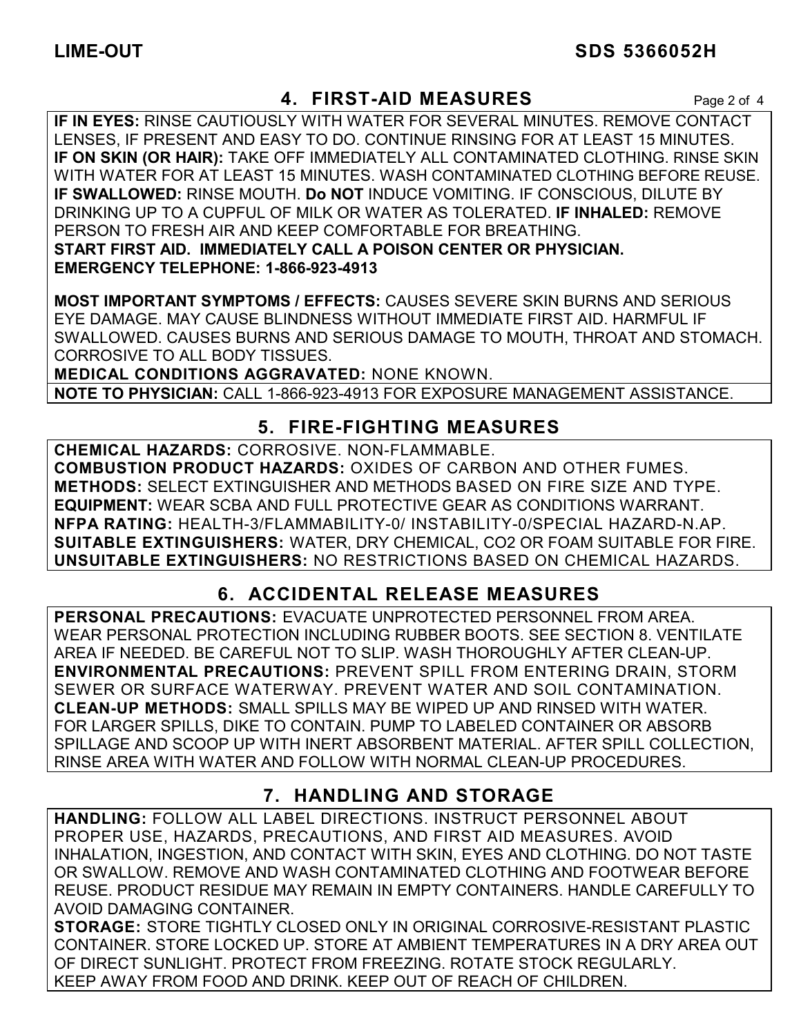## **4. FIRST-AID MEASURES** Page 2 of 4

**IF IN EYES:** RINSE CAUTIOUSLY WITH WATER FOR SEVERAL MINUTES. REMOVE CONTACT LENSES, IF PRESENT AND EASY TO DO. CONTINUE RINSING FOR AT LEAST 15 MINUTES. **IF ON SKIN (OR HAIR):** TAKE OFF IMMEDIATELY ALL CONTAMINATED CLOTHING. RINSE SKIN WITH WATER FOR AT LEAST 15 MINUTES. WASH CONTAMINATED CLOTHING BEFORE REUSE. **IF SWALLOWED:** RINSE MOUTH. **Do NOT** INDUCE VOMITING. IF CONSCIOUS, DILUTE BY DRINKING UP TO A CUPFUL OF MILK OR WATER AS TOLERATED. **IF INHALED:** REMOVE PERSON TO FRESH AIR AND KEEP COMFORTABLE FOR BREATHING. **START FIRST AID. IMMEDIATELY CALL A POISON CENTER OR PHYSICIAN. EMERGENCY TELEPHONE: 1-866-923-4913**

**MOST IMPORTANT SYMPTOMS / EFFECTS:** CAUSES SEVERE SKIN BURNS AND SERIOUS EYE DAMAGE. MAY CAUSE BLINDNESS WITHOUT IMMEDIATE FIRST AID. HARMFUL IF SWALLOWED. CAUSES BURNS AND SERIOUS DAMAGE TO MOUTH, THROAT AND STOMACH. CORROSIVE TO ALL BODY TISSUES.

**MEDICAL CONDITIONS AGGRAVATED:** NONE KNOWN.

**NOTE TO PHYSICIAN:** CALL 1-866-923-4913 FOR EXPOSURE MANAGEMENT ASSISTANCE.

## **5. FIRE-FIGHTING MEASURES**

**CHEMICAL HAZARDS:** CORROSIVE. NON-FLAMMABLE. **COMBUSTION PRODUCT HAZARDS:** OXIDES OF CARBON AND OTHER FUMES. **METHODS:** SELECT EXTINGUISHER AND METHODS BASED ON FIRE SIZE AND TYPE. **EQUIPMENT:** WEAR SCBA AND FULL PROTECTIVE GEAR AS CONDITIONS WARRANT. **NFPA RATING:** HEALTH-3/FLAMMABILITY-0/ INSTABILITY-0/SPECIAL HAZARD-N.AP. **SUITABLE EXTINGUISHERS:** WATER, DRY CHEMICAL, CO2 OR FOAM SUITABLE FOR FIRE. **UNSUITABLE EXTINGUISHERS:** NO RESTRICTIONS BASED ON CHEMICAL HAZARDS.

## **6. ACCIDENTAL RELEASE MEASURES**

**PERSONAL PRECAUTIONS:** EVACUATE UNPROTECTED PERSONNEL FROM AREA. WEAR PERSONAL PROTECTION INCLUDING RUBBER BOOTS. SEE SECTION 8. VENTILATE AREA IF NEEDED. BE CAREFUL NOT TO SLIP. WASH THOROUGHLY AFTER CLEAN-UP. **ENVIRONMENTAL PRECAUTIONS:** PREVENT SPILL FROM ENTERING DRAIN, STORM SEWER OR SURFACE WATERWAY. PREVENT WATER AND SOIL CONTAMINATION. **CLEAN-UP METHODS:** SMALL SPILLS MAY BE WIPED UP AND RINSED WITH WATER. FOR LARGER SPILLS, DIKE TO CONTAIN. PUMP TO LABELED CONTAINER OR ABSORB SPILLAGE AND SCOOP UP WITH INERT ABSORBENT MATERIAL. AFTER SPILL COLLECTION, RINSE AREA WITH WATER AND FOLLOW WITH NORMAL CLEAN-UP PROCEDURES.

## **7. HANDLING AND STORAGE**

**HANDLING:** FOLLOW ALL LABEL DIRECTIONS. INSTRUCT PERSONNEL ABOUT PROPER USE, HAZARDS, PRECAUTIONS, AND FIRST AID MEASURES. AVOID INHALATION, INGESTION, AND CONTACT WITH SKIN, EYES AND CLOTHING. DO NOT TASTE OR SWALLOW. REMOVE AND WASH CONTAMINATED CLOTHING AND FOOTWEAR BEFORE REUSE. PRODUCT RESIDUE MAY REMAIN IN EMPTY CONTAINERS. HANDLE CAREFULLY TO AVOID DAMAGING CONTAINER.

**STORAGE:** STORE TIGHTLY CLOSED ONLY IN ORIGINAL CORROSIVE-RESISTANT PLASTIC CONTAINER. STORE LOCKED UP. STORE AT AMBIENT TEMPERATURES IN A DRY AREA OUT OF DIRECT SUNLIGHT. PROTECT FROM FREEZING. ROTATE STOCK REGULARLY. KEEP AWAY FROM FOOD AND DRINK. KEEP OUT OF REACH OF CHILDREN.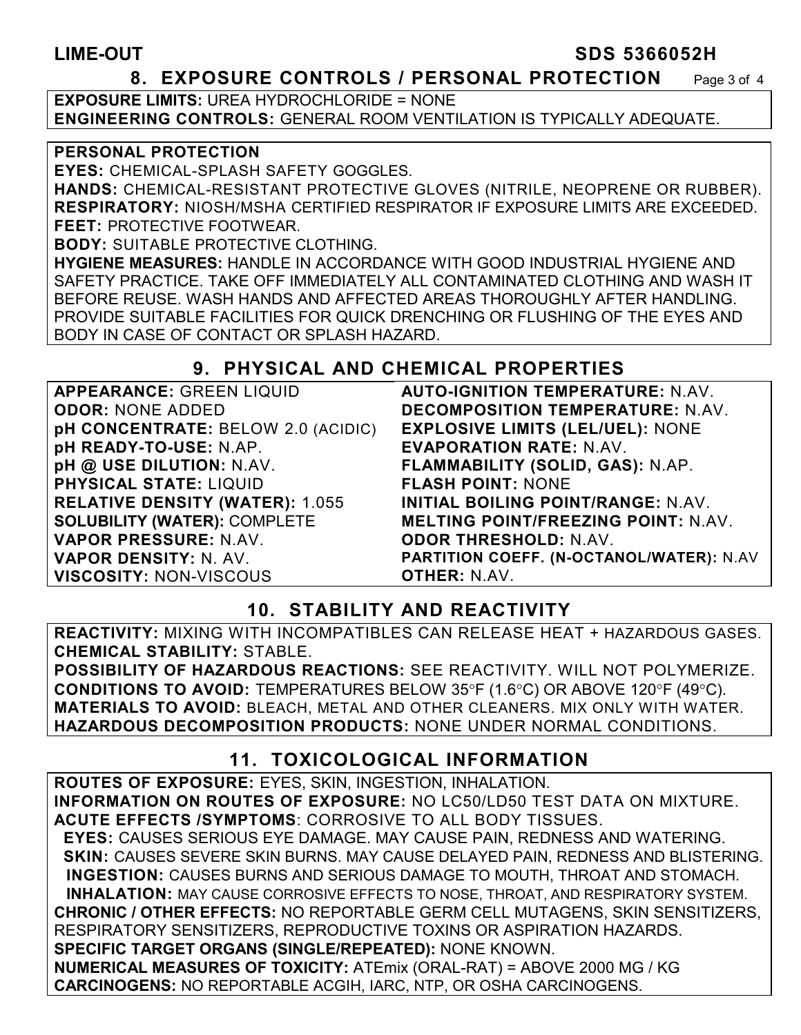#### **LIME-OUT SDS 5366052H**

#### **8. EXPOSURE CONTROLS / PERSONAL PROTECTION** Page 3 of 4

**EXPOSURE LIMITS: URFA HYDROCHLORIDE = NONE ENGINEERING CONTROLS:** GENERAL ROOM VENTILATION IS TYPICALLY ADEQUATE.

#### **PERSONAL PROTECTION**

**EYES:** CHEMICAL-SPLASH SAFETY GOGGLES.

**HANDS:** CHEMICAL-RESISTANT PROTECTIVE GLOVES (NITRILE, NEOPRENE OR RUBBER). **RESPIRATORY:** NIOSH/MSHA CERTIFIED RESPIRATOR IF EXPOSURE LIMITS ARE EXCEEDED. **FEET:** PROTECTIVE FOOTWEAR.

**BODY:** SUITABLE PROTECTIVE CLOTHING.

**HYGIENE MEASURES:** HANDLE IN ACCORDANCE WITH GOOD INDUSTRIAL HYGIENE AND SAFETY PRACTICE. TAKE OFF IMMEDIATELY ALL CONTAMINATED CLOTHING AND WASH IT BEFORE REUSE. WASH HANDS AND AFFECTED AREAS THOROUGHLY AFTER HANDLING. PROVIDE SUITABLE FACILITIES FOR QUICK DRENCHING OR FLUSHING OF THE EYES AND BODY IN CASE OF CONTACT OR SPLASH HAZARD.

#### **9. PHYSICAL AND CHEMICAL PROPERTIES**

| <b>APPEARANCE: GREEN LIQUID</b>        | <b>AUTO-IGNIT</b>  |
|----------------------------------------|--------------------|
| <b>ODOR: NONE ADDED</b>                | <b>DECOMPOS</b>    |
| pH CONCENTRATE: BELOW 2.0 (ACIDIC)     | <b>EXPLOSIVE</b>   |
| pH READY-TO-USE: N.AP.                 | <b>EVAPORAT</b>    |
| pH @ USE DILUTION: N.AV.               | <b>FLAMMABII</b>   |
| PHYSICAL STATE: LIQUID                 | <b>FLASH POII</b>  |
| <b>RELATIVE DENSITY (WATER): 1.055</b> | <b>INITIAL BOI</b> |
| <b>SOLUBILITY (WATER): COMPLETE</b>    | <b>MELTING P</b>   |
| VAPOR PRESSURE: N.AV.                  | <b>ODOR THRI</b>   |
| VAPOR DENSITY: N. AV.                  | <b>PARTITION (</b> |
| <b>VISCOSITY: NON-VISCOUS</b>          | <b>OTHER: N.A</b>  |

**TION TEMPERATURE:** N.AV. **BITION TEMPERATURE: N.AV. E LIMITS (LEL/UEL): NONE ION RATE: N.AV. FLAMMABILITY (SOLID, GAS):** N.AP. **NT: NONE ILING POINT/RANGE: N.AV.** *OINT/FREEZING POINT: N AV.* **ODOR THRESHOLD:** N.AV. **PARTITION COEFF. (N-OCTANOL/WATER):** N.AV AV.

### **10. STABILITY AND REACTIVITY**

**REACTIVITY:** MIXING WITH INCOMPATIBLES CAN RELEASE HEAT + HAZARDOUS GASES. **CHEMICAL STABILITY:** STABLE.

**POSSIBILITY OF HAZARDOUS REACTIONS:** SEE REACTIVITY. WILL NOT POLYMERIZE. **CONDITIONS TO AVOID:** TEMPERATURES BELOW 35°F (1.6°C) OR ABOVE 120°F (49°C). **MATERIALS TO AVOID:** BLEACH, METAL AND OTHER CLEANERS. MIX ONLY WITH WATER. **HAZARDOUS DECOMPOSITION PRODUCTS:** NONE UNDER NORMAL CONDITIONS.

### **11. TOXICOLOGICAL INFORMATION**

**ROUTES OF EXPOSURE:** EYES, SKIN, INGESTION, INHALATION. **INFORMATION ON ROUTES OF EXPOSURE:** NO LC50/LD50 TEST DATA ON MIXTURE. **ACUTE EFFECTS /SYMPTOMS**: CORROSIVE TO ALL BODY TISSUES.  **EYES:** CAUSES SERIOUS EYE DAMAGE. MAY CAUSE PAIN, REDNESS AND WATERING.  **SKIN:** CAUSES SEVERE SKIN BURNS. MAY CAUSE DELAYED PAIN, REDNESS AND BLISTERING. **INGESTION:** CAUSES BURNS AND SERIOUS DAMAGE TO MOUTH, THROAT AND STOMACH. **INHALATION:** MAY CAUSE CORROSIVE EFFECTS TO NOSE, THROAT, AND RESPIRATORY SYSTEM. **CHRONIC / OTHER EFFECTS:** NO REPORTABLE GERM CELL MUTAGENS, SKIN SENSITIZERS, RESPIRATORY SENSITIZERS, REPRODUCTIVE TOXINS OR ASPIRATION HAZARDS. **SPECIFIC TARGET ORGANS (SINGLE/REPEATED):** NONE KNOWN. **NUMERICAL MEASURES OF TOXICITY:** ATEmix (ORAL-RAT) = ABOVE 2000 MG / KG **CARCINOGENS:** NO REPORTABLE ACGIH, IARC, NTP, OR OSHA CARCINOGENS.